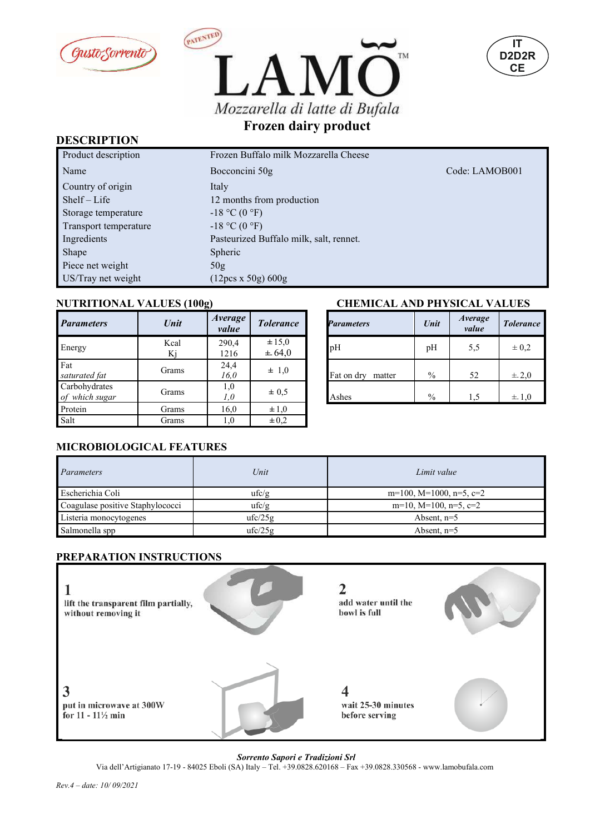





#### **DESCRIPTION**

| Product description   | Frozen Buffalo milk Mozzarella Cheese   |                |
|-----------------------|-----------------------------------------|----------------|
| Name                  | Bocconcini 50g                          | Code: LAMOB001 |
| Country of origin     | Italy                                   |                |
| $Shelf-Life$          | 12 months from production               |                |
| Storage temperature   | $-18$ °C (0 °F)                         |                |
| Transport temperature | $-18$ °C (0 °F)                         |                |
| Ingredients           | Pasteurized Buffalo milk, salt, rennet. |                |
| Shape                 | <b>Spheric</b>                          |                |
| Piece net weight      | 50g                                     |                |
| US/Tray net weight    | (12pcs x 50g) 600g                      |                |

| <b>Parameters</b>               | Unit       | Average<br>value | <b>Tolerance</b>         | <b>Parameters</b>    | Unit          | Average<br>value | <b>Tolerar</b> |
|---------------------------------|------------|------------------|--------------------------|----------------------|---------------|------------------|----------------|
| Energy                          | Kcal<br>Kj | 290,4<br>1216    | $\pm 15,0$<br>$\pm 64,0$ | pH                   | pH            | 5,5              | $\pm 0.2$      |
| Fat<br>saturated fat            | Grams      | 24,4<br>16.0     | $\pm$ 1,0                | Fat on dry<br>matter | $\frac{0}{0}$ | 52               | ±.2,0          |
| Carbohydrates<br>of which sugar | Grams      | 1,0<br>1,0       | $\pm 0.5$                | Ashes                | $\frac{0}{0}$ | 1,5              | $\pm$ 1,0      |
| Protein                         | Grams      | 16,0             | $\pm 1,0$                |                      |               |                  |                |
| Salt                            | Grams      | 1,0              | $\pm 0.2$                |                      |               |                  |                |

## **NUTRITIONAL VALUES (100g) CHEMICAL AND PHYSICAL VALUES**

| verage<br>value | <b>Tolerance</b>     | <b>Parameters</b>    | <i>Average</i><br>Unit<br>value | <b>Tolerance</b> |
|-----------------|----------------------|----------------------|---------------------------------|------------------|
| 290,4<br>1216   | $\pm 15,0$<br>± 64,0 | pH                   | 5,5<br>pH                       | $\pm 0.2$        |
| 24,4<br>16,0    | $\pm$ 1,0            | Fat on dry<br>matter | $\frac{0}{0}$<br>52             | $\pm$ 2.0        |
| 1,0<br>1,0      | $\pm 0.5$            | Ashes                | $\frac{0}{0}$<br>1.5            | $\pm$ 1.0        |
| $1 \in \Omega$  | $1 \Omega$           |                      |                                 |                  |

#### **MICROBIOLOGICAL FEATURES**

| Parameters                       | Unit    | Limit value                      |
|----------------------------------|---------|----------------------------------|
| Escherichia Coli                 | ufc/g   | $m=100$ , M=1000, n=5, c=2       |
| Coagulase positive Staphylococci | ufc/g   | $m=10$ , $M=100$ , $n=5$ , $c=2$ |
| Listeria monocytogenes           | ufc/25g | Absent, $n=5$                    |
| Salmonella spp                   | ufc/25g | Absent, $n=5$                    |

### **PREPARATION INSTRUCTIONS**



*Sorrento Sapori e Tradizioni Srl*

Via dell'Artigianato 17-19 - 84025 Eboli (SA) Italy – Tel. +39.0828.620168 – Fax +39.0828.330568 - www.lamobufala.com